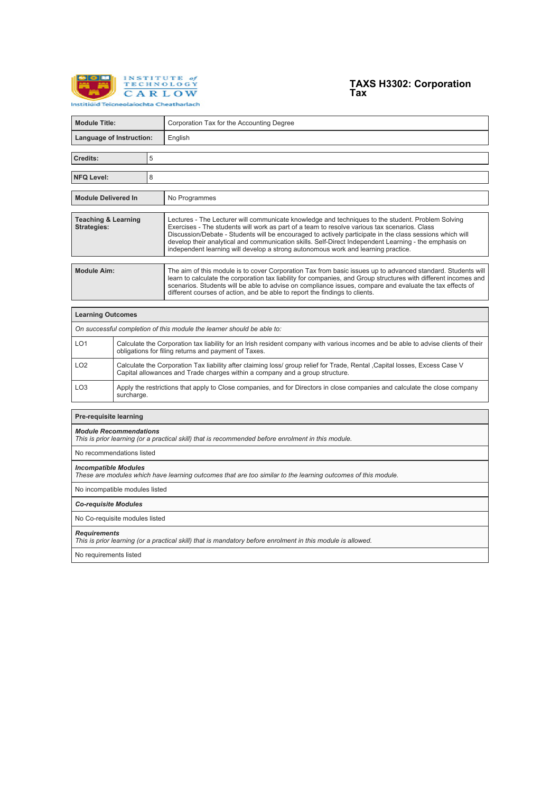



| <b>Module Title:</b>                                                                                                                        |                                                                                                                                                                                                            |   | Corporation Tax for the Accounting Degree                                                                                                                                                                                                                                                                                                                                                                                                                                                                   |  |  |  |  |
|---------------------------------------------------------------------------------------------------------------------------------------------|------------------------------------------------------------------------------------------------------------------------------------------------------------------------------------------------------------|---|-------------------------------------------------------------------------------------------------------------------------------------------------------------------------------------------------------------------------------------------------------------------------------------------------------------------------------------------------------------------------------------------------------------------------------------------------------------------------------------------------------------|--|--|--|--|
| Language of Instruction:                                                                                                                    |                                                                                                                                                                                                            |   | English                                                                                                                                                                                                                                                                                                                                                                                                                                                                                                     |  |  |  |  |
| Credits:                                                                                                                                    |                                                                                                                                                                                                            | 5 |                                                                                                                                                                                                                                                                                                                                                                                                                                                                                                             |  |  |  |  |
|                                                                                                                                             |                                                                                                                                                                                                            |   |                                                                                                                                                                                                                                                                                                                                                                                                                                                                                                             |  |  |  |  |
| <b>NFQ Level:</b>                                                                                                                           |                                                                                                                                                                                                            | 8 |                                                                                                                                                                                                                                                                                                                                                                                                                                                                                                             |  |  |  |  |
| <b>Module Delivered In</b>                                                                                                                  |                                                                                                                                                                                                            |   | No Programmes                                                                                                                                                                                                                                                                                                                                                                                                                                                                                               |  |  |  |  |
| <b>Teaching &amp; Learning</b><br><b>Strategies:</b>                                                                                        |                                                                                                                                                                                                            |   | Lectures - The Lecturer will communicate knowledge and techniques to the student. Problem Solving<br>Exercises - The students will work as part of a team to resolve various tax scenarios. Class<br>Discussion/Debate - Students will be encouraged to actively participate in the class sessions which will<br>develop their analytical and communication skills. Self-Direct Independent Learning - the emphasis on<br>independent learning will develop a strong autonomous work and learning practice. |  |  |  |  |
| <b>Module Aim:</b>                                                                                                                          |                                                                                                                                                                                                            |   | The aim of this module is to cover Corporation Tax from basic issues up to advanced standard. Students will<br>learn to calculate the corporation tax liability for companies, and Group structures with different incomes and<br>scenarios. Students will be able to advise on compliance issues, compare and evaluate the tax effects of<br>different courses of action, and be able to report the findings to clients.                                                                                   |  |  |  |  |
| <b>Learning Outcomes</b>                                                                                                                    |                                                                                                                                                                                                            |   |                                                                                                                                                                                                                                                                                                                                                                                                                                                                                                             |  |  |  |  |
| On successful completion of this module the learner should be able to:                                                                      |                                                                                                                                                                                                            |   |                                                                                                                                                                                                                                                                                                                                                                                                                                                                                                             |  |  |  |  |
| LO <sub>1</sub>                                                                                                                             | Calculate the Corporation tax liability for an Irish resident company with various incomes and be able to advise clients of their<br>obligations for filing returns and payment of Taxes.                  |   |                                                                                                                                                                                                                                                                                                                                                                                                                                                                                                             |  |  |  |  |
| LO <sub>2</sub>                                                                                                                             | Calculate the Corporation Tax liability after claiming loss/ group relief for Trade, Rental ,Capital losses, Excess Case V<br>Capital allowances and Trade charges within a company and a group structure. |   |                                                                                                                                                                                                                                                                                                                                                                                                                                                                                                             |  |  |  |  |
| LO <sub>3</sub><br>surcharge.                                                                                                               |                                                                                                                                                                                                            |   | Apply the restrictions that apply to Close companies, and for Directors in close companies and calculate the close company                                                                                                                                                                                                                                                                                                                                                                                  |  |  |  |  |
| Pre-requisite learning                                                                                                                      |                                                                                                                                                                                                            |   |                                                                                                                                                                                                                                                                                                                                                                                                                                                                                                             |  |  |  |  |
| <b>Module Recommendations</b><br>This is prior learning (or a practical skill) that is recommended before enrolment in this module.         |                                                                                                                                                                                                            |   |                                                                                                                                                                                                                                                                                                                                                                                                                                                                                                             |  |  |  |  |
| No recommendations listed                                                                                                                   |                                                                                                                                                                                                            |   |                                                                                                                                                                                                                                                                                                                                                                                                                                                                                                             |  |  |  |  |
| <b>Incompatible Modules</b><br>These are modules which have learning outcomes that are too similar to the learning outcomes of this module. |                                                                                                                                                                                                            |   |                                                                                                                                                                                                                                                                                                                                                                                                                                                                                                             |  |  |  |  |
| No incompatible modules listed                                                                                                              |                                                                                                                                                                                                            |   |                                                                                                                                                                                                                                                                                                                                                                                                                                                                                                             |  |  |  |  |
| <b>Co-requisite Modules</b>                                                                                                                 |                                                                                                                                                                                                            |   |                                                                                                                                                                                                                                                                                                                                                                                                                                                                                                             |  |  |  |  |
| No Co-requisite modules listed                                                                                                              |                                                                                                                                                                                                            |   |                                                                                                                                                                                                                                                                                                                                                                                                                                                                                                             |  |  |  |  |
| Requirements<br>This is prior learning (or a practical skill) that is mandatory before enrolment in this module is allowed.                 |                                                                                                                                                                                                            |   |                                                                                                                                                                                                                                                                                                                                                                                                                                                                                                             |  |  |  |  |

No requirements listed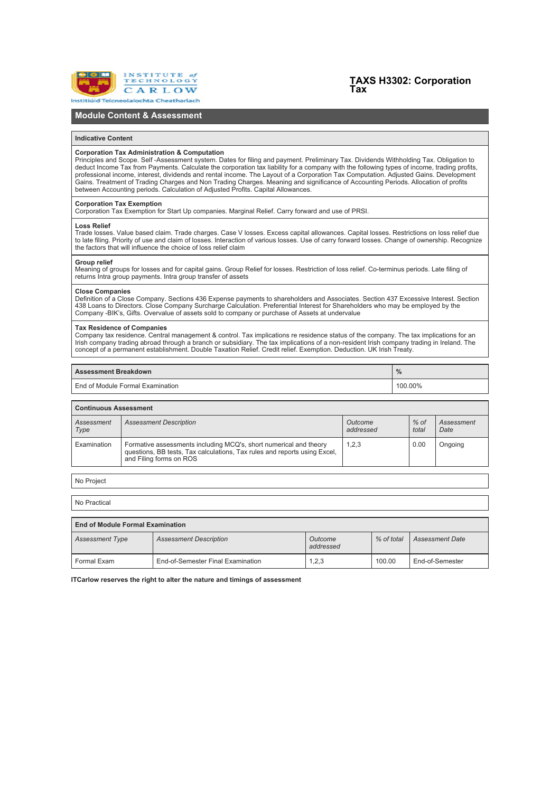

# **TAXS H3302: Corporation Tax**

## **Module Content & Assessment**

## **Indicative Content**

## **Corporation Tax Administration & Computation**

Principles and Scope. Self -Assessment system. Dates for filing and payment. Preliminary Tax. Dividends Withholding Tax. Obligation to deduct Income Tax from Payments. Calculate the corporation tax liability for a company with the following types of income, trading profits,<br>professional income, interest, dividends and rental income. The Layout of a Corpor between Accounting periods. Calculation of Adjusted Profits. Capital Allowances.

### **Corporation Tax Exemption**

Corporation Tax Exemption for Start Up companies. Marginal Relief. Carry forward and use of PRSI.

#### **Loss Relief**

Trade losses. Value based claim. Trade charges. Case V losses. Excess capital allowances. Capital losses. Restrictions on loss relief due to late filing. Priority of use and claim of losses. Interaction of various losses. Use of carry forward losses. Change of ownership. Recognize the factors that will influence the choice of loss relief claim

## **Group relief**

Meaning of groups for losses and for capital gains. Group Relief for losses. Restriction of loss relief. Co-terminus periods. Late filing of returns Intra group payments. Intra group transfer of assets

## **Close Companies**

Definition of a Close Company. Sections 436 Expense payments to shareholders and Associates. Section 437 Excessive Interest. Section 438 Loans to Directors. Close Company Surcharge Calculation. Preferential Interest for Shareholders who may be employed by the Company -BIK's, Gifts. Overvalue of assets sold to company or purchase of Assets at undervalue

## **Tax Residence of Companies**

Company tax residence. Central management & control. Tax implications re residence status of the company. The tax implications for an Irish company trading abroad through a branch or subsidiary. The tax implications of a non-resident Irish company trading in Ireland. The<br>concept of a permanent establishment. Double Taxation Relief. Credit relief. Exempti

| <b>Assessment Breakdown</b>       |         |
|-----------------------------------|---------|
| LEnd of Module Formal Examination | 100.00% |

| <b>Continuous Assessment</b> |                                                                                                                                                                           |                      |                 |                    |  |  |  |  |
|------------------------------|---------------------------------------------------------------------------------------------------------------------------------------------------------------------------|----------------------|-----------------|--------------------|--|--|--|--|
| Assessment<br>Type           | <b>Assessment Description</b>                                                                                                                                             | Outcome<br>addressed | $%$ of<br>total | Assessment<br>Date |  |  |  |  |
| Examination                  | Formative assessments including MCQ's, short numerical and theory<br>questions, BB tests, Tax calculations, Tax rules and reports using Excel,<br>and Filing forms on ROS | 1.2.3                | 0.00            | Ongoing            |  |  |  |  |

No Project

г

No Practical

|                        | <b>End of Module Formal Examination</b> |                      |            |                        |  |  |  |  |
|------------------------|-----------------------------------------|----------------------|------------|------------------------|--|--|--|--|
| <b>Assessment Type</b> | <b>Assessment Description</b>           | Outcome<br>addressed | % of total | <b>Assessment Date</b> |  |  |  |  |
| Formal Exam            | End-of-Semester Final Examination       | 1,2,3                | 100.00     | End-of-Semester        |  |  |  |  |

**ITCarlow reserves the right to alter the nature and timings of assessment**